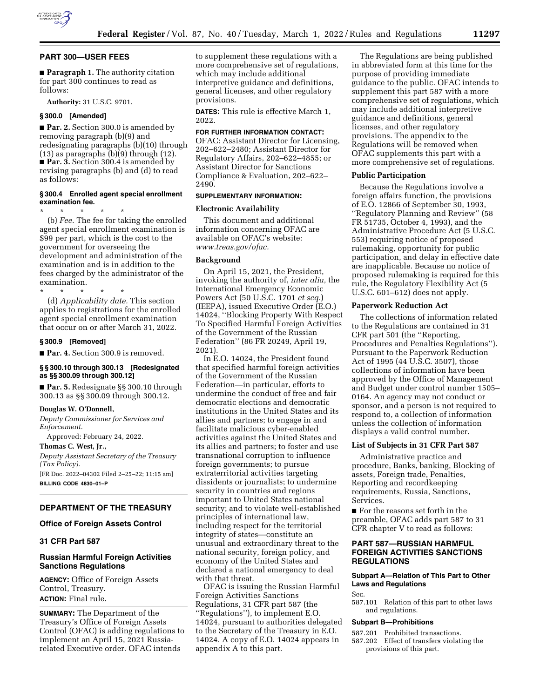

### **PART 300—USER FEES**

■ **Paragraph 1.** The authority citation for part 300 continues to read as follows:

**Authority:** 31 U.S.C. 9701.

## **§ 300.0 [Amended]**

■ **Par. 2.** Section 300.0 is amended by removing paragraph (b)(9) and redesignating paragraphs (b)(10) through  $(13)$  as paragraphs  $(b)(9)$  through  $(12)$ . ■ **Par. 3.** Section 300.4 is amended by revising paragraphs (b) and (d) to read as follows:

## **§ 300.4 Enrolled agent special enrollment examination fee.**

\* \* \* \* \*

(b) *Fee.* The fee for taking the enrolled agent special enrollment examination is \$99 per part, which is the cost to the government for overseeing the development and administration of the examination and is in addition to the fees charged by the administrator of the examination.

\* \* \* \* \* (d) *Applicability date.* This section applies to registrations for the enrolled agent special enrollment examination that occur on or after March 31, 2022.

#### **§ 300.9 [Removed]**

■ **Par. 4.** Section 300.9 is removed.

## **§ § 300.10 through 300.13 [Redesignated as §§ 300.09 through 300.12]**

■ **Par. 5.** Redesignate §§ 300.10 through 300.13 as §§ 300.09 through 300.12.

#### **Douglas W. O'Donnell,**

*Deputy Commissioner for Services and Enforcement.* 

Approved: February 24, 2022.

**Thomas C. West, Jr.,**  *Deputy Assistant Secretary of the Treasury (Tax Policy).*  [FR Doc. 2022–04302 Filed 2–25–22; 11:15 am] **BILLING CODE 4830–01–P** 

# **DEPARTMENT OF THE TREASURY**

## **Office of Foreign Assets Control**

## **31 CFR Part 587**

## **Russian Harmful Foreign Activities Sanctions Regulations**

**AGENCY:** Office of Foreign Assets Control, Treasury. **ACTION:** Final rule.

**SUMMARY:** The Department of the Treasury's Office of Foreign Assets Control (OFAC) is adding regulations to implement an April 15, 2021 Russiarelated Executive order. OFAC intends

to supplement these regulations with a more comprehensive set of regulations, which may include additional interpretive guidance and definitions, general licenses, and other regulatory provisions.

**DATES:** This rule is effective March 1, 2022.

## **FOR FURTHER INFORMATION CONTACT:**

OFAC: Assistant Director for Licensing, 202–622–2480; Assistant Director for Regulatory Affairs, 202–622–4855; or Assistant Director for Sanctions Compliance & Evaluation, 202–622– 2490.

## **SUPPLEMENTARY INFORMATION:**

## **Electronic Availability**

This document and additional information concerning OFAC are available on OFAC's website: *[www.treas.gov/ofac.](http://www.treas.gov/ofac)* 

### **Background**

On April 15, 2021, the President, invoking the authority of, *inter alia,* the International Emergency Economic Powers Act (50 U.S.C. 1701 *et seq.*) (IEEPA), issued Executive Order (E.O.) 14024, ''Blocking Property With Respect To Specified Harmful Foreign Activities of the Government of the Russian Federation'' (86 FR 20249, April 19, 2021).

In E.O. 14024, the President found that specified harmful foreign activities of the Government of the Russian Federation—in particular, efforts to undermine the conduct of free and fair democratic elections and democratic institutions in the United States and its allies and partners; to engage in and facilitate malicious cyber-enabled activities against the United States and its allies and partners; to foster and use transnational corruption to influence foreign governments; to pursue extraterritorial activities targeting dissidents or journalists; to undermine security in countries and regions important to United States national security; and to violate well-established principles of international law, including respect for the territorial integrity of states—constitute an unusual and extraordinary threat to the national security, foreign policy, and economy of the United States and declared a national emergency to deal with that threat.

OFAC is issuing the Russian Harmful Foreign Activities Sanctions Regulations, 31 CFR part 587 (the ''Regulations''), to implement E.O. 14024, pursuant to authorities delegated to the Secretary of the Treasury in E.O. 14024. A copy of E.O. 14024 appears in appendix A to this part.

The Regulations are being published in abbreviated form at this time for the purpose of providing immediate guidance to the public. OFAC intends to supplement this part 587 with a more comprehensive set of regulations, which may include additional interpretive guidance and definitions, general licenses, and other regulatory provisions. The appendix to the Regulations will be removed when OFAC supplements this part with a more comprehensive set of regulations.

#### **Public Participation**

Because the Regulations involve a foreign affairs function, the provisions of E.O. 12866 of September 30, 1993, ''Regulatory Planning and Review'' (58 FR 51735, October 4, 1993), and the Administrative Procedure Act (5 U.S.C. 553) requiring notice of proposed rulemaking, opportunity for public participation, and delay in effective date are inapplicable. Because no notice of proposed rulemaking is required for this rule, the Regulatory Flexibility Act (5 U.S.C. 601–612) does not apply.

#### **Paperwork Reduction Act**

The collections of information related to the Regulations are contained in 31 CFR part 501 (the ''Reporting, Procedures and Penalties Regulations''). Pursuant to the Paperwork Reduction Act of 1995 (44 U.S.C. 3507), those collections of information have been approved by the Office of Management and Budget under control number 1505– 0164. An agency may not conduct or sponsor, and a person is not required to respond to, a collection of information unless the collection of information displays a valid control number.

## **List of Subjects in 31 CFR Part 587**

Administrative practice and procedure, Banks, banking, Blocking of assets, Foreign trade, Penalties, Reporting and recordkeeping requirements, Russia, Sanctions, Services.

■ For the reasons set forth in the preamble, OFAC adds part 587 to 31 CFR chapter V to read as follows:

## **PART 587—RUSSIAN HARMFUL FOREIGN ACTIVITIES SANCTIONS REGULATIONS**

## **Subpart A—Relation of This Part to Other Laws and Regulations**

Sec.

587.101 Relation of this part to other laws and regulations.

## **Subpart B—Prohibitions**

- 587.201 Prohibited transactions.
- 587.202 Effect of transfers violating the provisions of this part.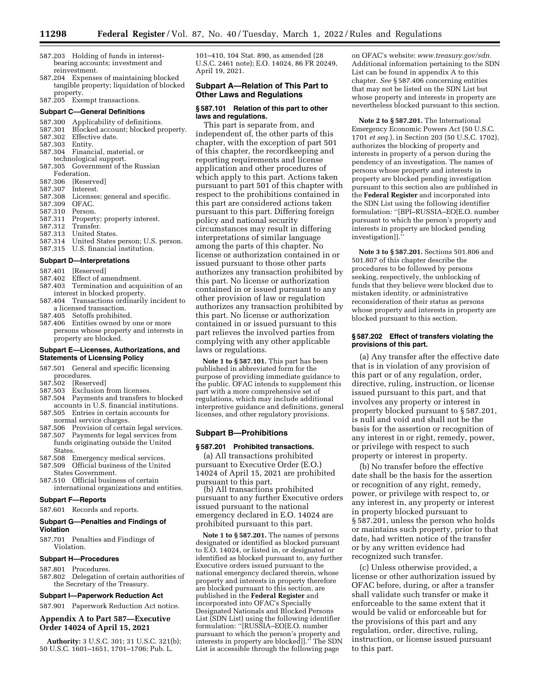- 587.203 Holding of funds in interestbearing accounts; investment and reinvestment.
- 587.204 Expenses of maintaining blocked tangible property; liquidation of blocked property.

587.205 Exempt transactions.

#### **Subpart C—General Definitions**

- 587.300 Applicability of definitions.<br>587.301 Blocked account: blocked pr
- 587.301 Blocked account; blocked property.<br>587.302 Effective date.
- Effective date.<br>Entity.
- 587.303<br>587.304
- Financial, material, or
- technological support.
- 587.305 Government of the Russian Federation.<br>587.306 Rese
- [Reserved]<br>Interest.
- 587.307<br>587.308
- Licenses; general and specific.<br>OFAC.
- 587.309 OFAC.<br>587.310 Person.
- 587.310<br>587.311
- 587.311 Property; property interest.<br>587.312 Transfer.
- Transfer.
- 587.313 United States.
- 587.314 United States person; U.S. person.<br>587.315 U.S. financial institution.
- U.S. financial institution.

## **Subpart D—Interpretations**

- 
- 587.401 [Reserved] Effect of amendment.
- 587.403 Termination and acquisition of an
- interest in blocked property. 587.404 Transactions ordinarily incident to
- a licensed transaction.<br>587.405 Setoffs prohibite
- Setoffs prohibited.
- 587.406 Entities owned by one or more persons whose property and interests in property are blocked.

### **Subpart E—Licenses, Authorizations, and Statements of Licensing Policy**

- 587.501 General and specific licensing procedures.<br>587.502 [Reser
- 587.502 [Reserved]
- Exclusion from licenses.
- 587.504 Payments and transfers to blocked accounts in U.S. financial institutions.
- 587.505 Entries in certain accounts for
- normal service charges.<br>587.506 Provision of certa Provision of certain legal services.
- 587.507 Payments for legal services from funds originating outside the United **States**
- 587.508 Emergency medical services.
- Official business of the United States Government.
- 587.510 Official business of certain international organizations and entities.

## **Subpart F—Reports**

587.601 Records and reports.

### **Subpart G—Penalties and Findings of Violation**

587.701 Penalties and Findings of Violation.

## **Subpart H—Procedures**

- 587.801 Procedures.
- 587.802 Delegation of certain authorities of the Secretary of the Treasury.

#### **Subpart I—Paperwork Reduction Act**

587.901 Paperwork Reduction Act notice.

## **Appendix A to Part 587—Executive Order 14024 of April 15, 2021**

**Authority:** 3 U.S.C. 301; 31 U.S.C. 321(b); 50 U.S.C. 1601–1651, 1701–1706; Pub. L.

101–410, 104 Stat. 890, as amended (28 U.S.C. 2461 note); E.O. 14024, 86 FR 20249, April 19, 2021.

## **Subpart A—Relation of This Part to Other Laws and Regulations**

#### **§ 587.101 Relation of this part to other laws and regulations.**

This part is separate from, and independent of, the other parts of this chapter, with the exception of part 501 of this chapter, the recordkeeping and reporting requirements and license application and other procedures of which apply to this part. Actions taken pursuant to part 501 of this chapter with respect to the prohibitions contained in this part are considered actions taken pursuant to this part. Differing foreign policy and national security circumstances may result in differing interpretations of similar language among the parts of this chapter. No license or authorization contained in or issued pursuant to those other parts authorizes any transaction prohibited by this part. No license or authorization contained in or issued pursuant to any other provision of law or regulation authorizes any transaction prohibited by this part. No license or authorization contained in or issued pursuant to this part relieves the involved parties from complying with any other applicable laws or regulations.

**Note 1 to § 587.101.** This part has been published in abbreviated form for the purpose of providing immediate guidance to the public. OFAC intends to supplement this part with a more comprehensive set of regulations, which may include additional interpretive guidance and definitions, general licenses, and other regulatory provisions.

#### **Subpart B—Prohibitions**

#### **§ 587.201 Prohibited transactions.**

(a) All transactions prohibited pursuant to Executive Order (E.O.) 14024 of April 15, 2021 are prohibited

(b) All transactions prohibited pursuant to any further Executive orders issued pursuant to the national emergency declared in E.O. 14024 are prohibited pursuant to this part.

**Note 1 to § 587.201.** The names of persons designated or identified as blocked pursuant to E.O. 14024, or listed in, or designated or identified as blocked pursuant to, any further Executive orders issued pursuant to the national emergency declared therein, whose property and interests in property therefore are blocked pursuant to this section, are published in the **Federal Register** and incorporated into OFAC's Specially Designated Nationals and Blocked Persons List (SDN List) using the following identifier formulation: ''[RUSSIA–EO[E.O. number pursuant to which the person's property and interests in property are blocked]].'' The SDN List is accessible through the following page

on OFAC's website: *[www.treasury.gov/sdn.](http://www.treasury.gov/sdn)*  Additional information pertaining to the SDN List can be found in appendix A to this chapter. *See* § 587.406 concerning entities that may not be listed on the SDN List but whose property and interests in property are nevertheless blocked pursuant to this section.

**Note 2 to § 587.201.** The International Emergency Economic Powers Act (50 U.S.C. 1701 *et seq.*), in Section 203 (50 U.S.C. 1702), authorizes the blocking of property and interests in property of a person during the pendency of an investigation. The names of persons whose property and interests in property are blocked pending investigation pursuant to this section also are published in the **Federal Register** and incorporated into the SDN List using the following identifier formulation: ''[BPI–RUSSIA–EO[E.O. number pursuant to which the person's property and interests in property are blocked pending investigation]].''

**Note 3 to § 587.201.** Sections 501.806 and 501.807 of this chapter describe the procedures to be followed by persons seeking, respectively, the unblocking of funds that they believe were blocked due to mistaken identity, or administrative reconsideration of their status as persons whose property and interests in property are blocked pursuant to this section.

### **§ 587.202 Effect of transfers violating the provisions of this part.**

(a) Any transfer after the effective date that is in violation of any provision of this part or of any regulation, order, directive, ruling, instruction, or license issued pursuant to this part, and that involves any property or interest in property blocked pursuant to § 587.201, is null and void and shall not be the basis for the assertion or recognition of any interest in or right, remedy, power, or privilege with respect to such property or interest in property.

(b) No transfer before the effective date shall be the basis for the assertion or recognition of any right, remedy, power, or privilege with respect to, or any interest in, any property or interest in property blocked pursuant to § 587.201, unless the person who holds or maintains such property, prior to that date, had written notice of the transfer or by any written evidence had recognized such transfer.

(c) Unless otherwise provided, a license or other authorization issued by OFAC before, during, or after a transfer shall validate such transfer or make it enforceable to the same extent that it would be valid or enforceable but for the provisions of this part and any regulation, order, directive, ruling, instruction, or license issued pursuant to this part.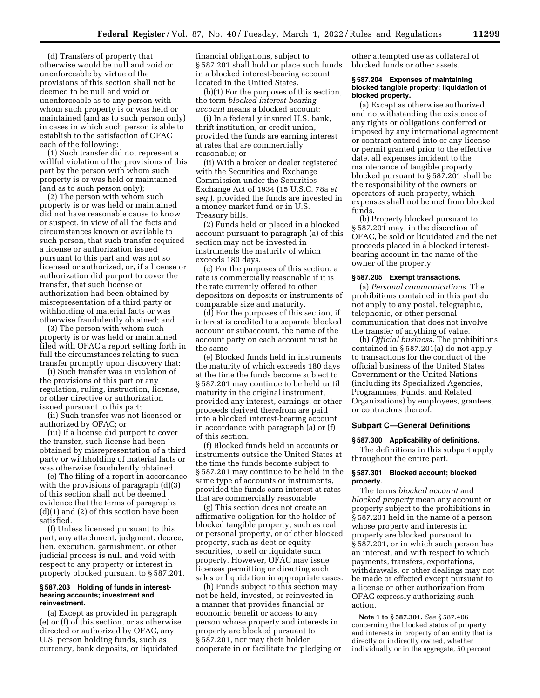(d) Transfers of property that otherwise would be null and void or unenforceable by virtue of the provisions of this section shall not be deemed to be null and void or unenforceable as to any person with whom such property is or was held or maintained (and as to such person only) in cases in which such person is able to establish to the satisfaction of OFAC each of the following:

(1) Such transfer did not represent a willful violation of the provisions of this part by the person with whom such property is or was held or maintained (and as to such person only);

(2) The person with whom such property is or was held or maintained did not have reasonable cause to know or suspect, in view of all the facts and circumstances known or available to such person, that such transfer required a license or authorization issued pursuant to this part and was not so licensed or authorized, or, if a license or authorization did purport to cover the transfer, that such license or authorization had been obtained by misrepresentation of a third party or withholding of material facts or was otherwise fraudulently obtained; and

(3) The person with whom such property is or was held or maintained filed with OFAC a report setting forth in full the circumstances relating to such transfer promptly upon discovery that:

(i) Such transfer was in violation of the provisions of this part or any regulation, ruling, instruction, license, or other directive or authorization issued pursuant to this part;

(ii) Such transfer was not licensed or authorized by OFAC; or

(iii) If a license did purport to cover the transfer, such license had been obtained by misrepresentation of a third party or withholding of material facts or was otherwise fraudulently obtained.

(e) The filing of a report in accordance with the provisions of paragraph  $(d)(3)$ of this section shall not be deemed evidence that the terms of paragraphs (d)(1) and (2) of this section have been satisfied.

(f) Unless licensed pursuant to this part, any attachment, judgment, decree, lien, execution, garnishment, or other judicial process is null and void with respect to any property or interest in property blocked pursuant to § 587.201.

#### **§ 587.203 Holding of funds in interestbearing accounts; investment and reinvestment.**

(a) Except as provided in paragraph (e) or (f) of this section, or as otherwise directed or authorized by OFAC, any U.S. person holding funds, such as currency, bank deposits, or liquidated

financial obligations, subject to § 587.201 shall hold or place such funds in a blocked interest-bearing account located in the United States.

(b)(1) For the purposes of this section, the term *blocked interest-bearing account* means a blocked account:

(i) In a federally insured U.S. bank, thrift institution, or credit union, provided the funds are earning interest at rates that are commercially reasonable; or

(ii) With a broker or dealer registered with the Securities and Exchange Commission under the Securities Exchange Act of 1934 (15 U.S.C. 78a *et seq.*), provided the funds are invested in a money market fund or in U.S. Treasury bills.

(2) Funds held or placed in a blocked account pursuant to paragraph (a) of this section may not be invested in instruments the maturity of which exceeds 180 days.

(c) For the purposes of this section, a rate is commercially reasonable if it is the rate currently offered to other depositors on deposits or instruments of comparable size and maturity.

(d) For the purposes of this section, if interest is credited to a separate blocked account or subaccount, the name of the account party on each account must be the same.

(e) Blocked funds held in instruments the maturity of which exceeds 180 days at the time the funds become subject to § 587.201 may continue to be held until maturity in the original instrument, provided any interest, earnings, or other proceeds derived therefrom are paid into a blocked interest-bearing account in accordance with paragraph (a) or (f) of this section.

(f) Blocked funds held in accounts or instruments outside the United States at the time the funds become subject to § 587.201 may continue to be held in the same type of accounts or instruments, provided the funds earn interest at rates that are commercially reasonable.

(g) This section does not create an affirmative obligation for the holder of blocked tangible property, such as real or personal property, or of other blocked property, such as debt or equity securities, to sell or liquidate such property. However, OFAC may issue licenses permitting or directing such sales or liquidation in appropriate cases.

(h) Funds subject to this section may not be held, invested, or reinvested in a manner that provides financial or economic benefit or access to any person whose property and interests in property are blocked pursuant to § 587.201, nor may their holder cooperate in or facilitate the pledging or

other attempted use as collateral of blocked funds or other assets.

### **§ 587.204 Expenses of maintaining blocked tangible property; liquidation of blocked property.**

(a) Except as otherwise authorized, and notwithstanding the existence of any rights or obligations conferred or imposed by any international agreement or contract entered into or any license or permit granted prior to the effective date, all expenses incident to the maintenance of tangible property blocked pursuant to § 587.201 shall be the responsibility of the owners or operators of such property, which expenses shall not be met from blocked funds.

(b) Property blocked pursuant to § 587.201 may, in the discretion of OFAC, be sold or liquidated and the net proceeds placed in a blocked interestbearing account in the name of the owner of the property.

# **§ 587.205 Exempt transactions.**

(a) *Personal communications.* The prohibitions contained in this part do not apply to any postal, telegraphic, telephonic, or other personal communication that does not involve the transfer of anything of value.

(b) *Official business.* The prohibitions contained in § 587.201(a) do not apply to transactions for the conduct of the official business of the United States Government or the United Nations (including its Specialized Agencies, Programmes, Funds, and Related Organizations) by employees, grantees, or contractors thereof.

## **Subpart C—General Definitions**

### **§ 587.300 Applicability of definitions.**

The definitions in this subpart apply throughout the entire part.

## **§ 587.301 Blocked account; blocked property.**

The terms *blocked account* and *blocked property* mean any account or property subject to the prohibitions in § 587.201 held in the name of a person whose property and interests in property are blocked pursuant to § 587.201, or in which such person has an interest, and with respect to which payments, transfers, exportations, withdrawals, or other dealings may not be made or effected except pursuant to a license or other authorization from OFAC expressly authorizing such action.

**Note 1 to § 587.301.** *See* § 587.406 concerning the blocked status of property and interests in property of an entity that is directly or indirectly owned, whether individually or in the aggregate, 50 percent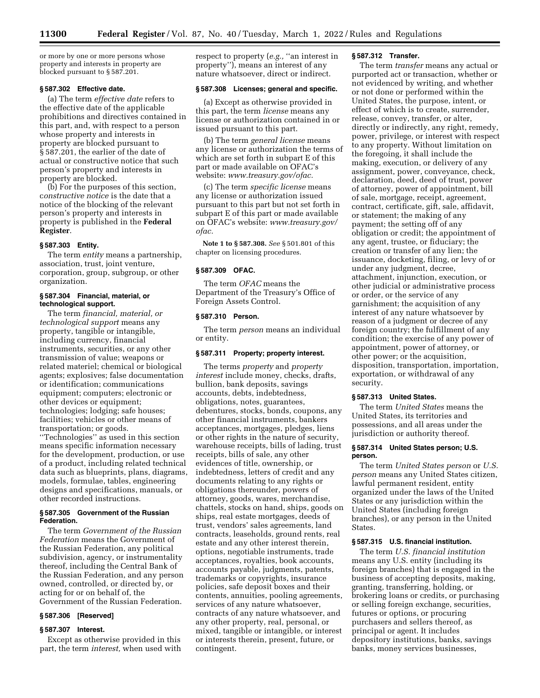or more by one or more persons whose property and interests in property are blocked pursuant to § 587.201.

#### **§ 587.302 Effective date.**

(a) The term *effective date* refers to the effective date of the applicable prohibitions and directives contained in this part, and, with respect to a person whose property and interests in property are blocked pursuant to § 587.201, the earlier of the date of actual or constructive notice that such person's property and interests in property are blocked.

(b) For the purposes of this section, c*onstructive notice* is the date that a notice of the blocking of the relevant person's property and interests in property is published in the **Federal Register**.

## **§ 587.303 Entity.**

The term *entity* means a partnership, association, trust, joint venture, corporation, group, subgroup, or other organization.

## **§ 587.304 Financial, material, or technological support.**

The term *financial, material, or technological support* means any property, tangible or intangible, including currency, financial instruments, securities, or any other transmission of value; weapons or related materiel; chemical or biological agents; explosives; false documentation or identification; communications equipment; computers; electronic or other devices or equipment; technologies; lodging; safe houses; facilities; vehicles or other means of transportation; or goods.

''Technologies'' as used in this section means specific information necessary for the development, production, or use of a product, including related technical data such as blueprints, plans, diagrams, models, formulae, tables, engineering designs and specifications, manuals, or other recorded instructions.

### **§ 587.305 Government of the Russian Federation.**

The term *Government of the Russian Federation* means the Government of the Russian Federation, any political subdivision, agency, or instrumentality thereof, including the Central Bank of the Russian Federation, and any person owned, controlled, or directed by, or acting for or on behalf of, the Government of the Russian Federation.

## **§ 587.306 [Reserved]**

# **§ 587.307 Interest.**

Except as otherwise provided in this part, the term *interest,* when used with respect to property (*e.g.*, "an interest in property''), means an interest of any nature whatsoever, direct or indirect.

## **§ 587.308 Licenses; general and specific.**

(a) Except as otherwise provided in this part, the term *license* means any license or authorization contained in or issued pursuant to this part.

(b) The term *general license* means any license or authorization the terms of which are set forth in subpart E of this part or made available on OFAC's website: *[www.treasury.gov/ofac.](http://www.treasury.gov/ofac)* 

(c) The term *specific license* means any license or authorization issued pursuant to this part but not set forth in subpart E of this part or made available on OFAC's website: *[www.treasury.gov/](http://www.treasury.gov/ofac)  [ofac.](http://www.treasury.gov/ofac)* 

**Note 1 to § 587.308.** *See* § 501.801 of this chapter on licensing procedures.

## **§ 587.309 OFAC.**

The term *OFAC* means the Department of the Treasury's Office of Foreign Assets Control.

#### **§ 587.310 Person.**

The term *person* means an individual or entity.

## **§ 587.311 Property; property interest.**

The terms *property* and *property interest* include money, checks, drafts, bullion, bank deposits, savings accounts, debts, indebtedness, obligations, notes, guarantees, debentures, stocks, bonds, coupons, any other financial instruments, bankers acceptances, mortgages, pledges, liens or other rights in the nature of security, warehouse receipts, bills of lading, trust receipts, bills of sale, any other evidences of title, ownership, or indebtedness, letters of credit and any documents relating to any rights or obligations thereunder, powers of attorney, goods, wares, merchandise, chattels, stocks on hand, ships, goods on ships, real estate mortgages, deeds of trust, vendors' sales agreements, land contracts, leaseholds, ground rents, real estate and any other interest therein, options, negotiable instruments, trade acceptances, royalties, book accounts, accounts payable, judgments, patents, trademarks or copyrights, insurance policies, safe deposit boxes and their contents, annuities, pooling agreements, services of any nature whatsoever, contracts of any nature whatsoever, and any other property, real, personal, or mixed, tangible or intangible, or interest or interests therein, present, future, or contingent.

## **§ 587.312 Transfer.**

The term *transfer* means any actual or purported act or transaction, whether or not evidenced by writing, and whether or not done or performed within the United States, the purpose, intent, or effect of which is to create, surrender, release, convey, transfer, or alter, directly or indirectly, any right, remedy, power, privilege, or interest with respect to any property. Without limitation on the foregoing, it shall include the making, execution, or delivery of any assignment, power, conveyance, check, declaration, deed, deed of trust, power of attorney, power of appointment, bill of sale, mortgage, receipt, agreement, contract, certificate, gift, sale, affidavit, or statement; the making of any payment; the setting off of any obligation or credit; the appointment of any agent, trustee, or fiduciary; the creation or transfer of any lien; the issuance, docketing, filing, or levy of or under any judgment, decree, attachment, injunction, execution, or other judicial or administrative process or order, or the service of any garnishment; the acquisition of any interest of any nature whatsoever by reason of a judgment or decree of any foreign country; the fulfillment of any condition; the exercise of any power of appointment, power of attorney, or other power; or the acquisition, disposition, transportation, importation, exportation, or withdrawal of any security.

### **§ 587.313 United States.**

The term *United States* means the United States, its territories and possessions, and all areas under the jurisdiction or authority thereof.

### **§ 587.314 United States person; U.S. person.**

The term *United States person* or *U.S. person* means any United States citizen, lawful permanent resident, entity organized under the laws of the United States or any jurisdiction within the United States (including foreign branches), or any person in the United States.

## **§ 587.315 U.S. financial institution.**

The term *U.S. financial institution*  means any U.S. entity (including its foreign branches) that is engaged in the business of accepting deposits, making, granting, transferring, holding, or brokering loans or credits, or purchasing or selling foreign exchange, securities, futures or options, or procuring purchasers and sellers thereof, as principal or agent. It includes depository institutions, banks, savings banks, money services businesses,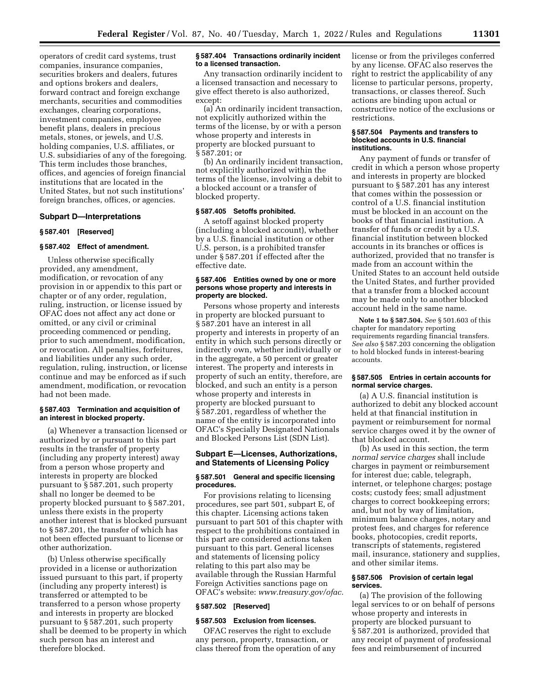operators of credit card systems, trust companies, insurance companies, securities brokers and dealers, futures and options brokers and dealers, forward contract and foreign exchange merchants, securities and commodities exchanges, clearing corporations, investment companies, employee benefit plans, dealers in precious metals, stones, or jewels, and U.S. holding companies, U.S. affiliates, or U.S. subsidiaries of any of the foregoing. This term includes those branches, offices, and agencies of foreign financial institutions that are located in the United States, but not such institutions' foreign branches, offices, or agencies.

## **Subpart D—Interpretations**

## **§ 587.401 [Reserved]**

## **§ 587.402 Effect of amendment.**

Unless otherwise specifically provided, any amendment, modification, or revocation of any provision in or appendix to this part or chapter or of any order, regulation, ruling, instruction, or license issued by OFAC does not affect any act done or omitted, or any civil or criminal proceeding commenced or pending, prior to such amendment, modification, or revocation. All penalties, forfeitures, and liabilities under any such order, regulation, ruling, instruction, or license continue and may be enforced as if such amendment, modification, or revocation had not been made.

## **§ 587.403 Termination and acquisition of an interest in blocked property.**

(a) Whenever a transaction licensed or authorized by or pursuant to this part results in the transfer of property (including any property interest) away from a person whose property and interests in property are blocked pursuant to § 587.201, such property shall no longer be deemed to be property blocked pursuant to § 587.201, unless there exists in the property another interest that is blocked pursuant to § 587.201, the transfer of which has not been effected pursuant to license or other authorization.

(b) Unless otherwise specifically provided in a license or authorization issued pursuant to this part, if property (including any property interest) is transferred or attempted to be transferred to a person whose property and interests in property are blocked pursuant to § 587.201, such property shall be deemed to be property in which such person has an interest and therefore blocked.

### **§ 587.404 Transactions ordinarily incident to a licensed transaction.**

Any transaction ordinarily incident to a licensed transaction and necessary to give effect thereto is also authorized, except:

(a) An ordinarily incident transaction, not explicitly authorized within the terms of the license, by or with a person whose property and interests in property are blocked pursuant to § 587.201; or

(b) An ordinarily incident transaction, not explicitly authorized within the terms of the license, involving a debit to a blocked account or a transfer of blocked property.

### **§ 587.405 Setoffs prohibited.**

A setoff against blocked property (including a blocked account), whether by a U.S. financial institution or other U.S. person, is a prohibited transfer under § 587.201 if effected after the effective date.

## **§ 587.406 Entities owned by one or more persons whose property and interests in property are blocked.**

Persons whose property and interests in property are blocked pursuant to § 587.201 have an interest in all property and interests in property of an entity in which such persons directly or indirectly own, whether individually or in the aggregate, a 50 percent or greater interest. The property and interests in property of such an entity, therefore, are blocked, and such an entity is a person whose property and interests in property are blocked pursuant to § 587.201, regardless of whether the name of the entity is incorporated into OFAC's Specially Designated Nationals and Blocked Persons List (SDN List).

### **Subpart E—Licenses, Authorizations, and Statements of Licensing Policy**

### **§ 587.501 General and specific licensing procedures.**

For provisions relating to licensing procedures, see part 501, subpart E, of this chapter. Licensing actions taken pursuant to part 501 of this chapter with respect to the prohibitions contained in this part are considered actions taken pursuant to this part. General licenses and statements of licensing policy relating to this part also may be available through the Russian Harmful Foreign Activities sanctions page on OFAC's website: *[www.treasury.gov/ofac.](http://www.treasury.gov/ofac)* 

#### **§ 587.502 [Reserved]**

### **§ 587.503 Exclusion from licenses.**

OFAC reserves the right to exclude any person, property, transaction, or class thereof from the operation of any license or from the privileges conferred by any license. OFAC also reserves the right to restrict the applicability of any license to particular persons, property, transactions, or classes thereof. Such actions are binding upon actual or constructive notice of the exclusions or restrictions.

#### **§ 587.504 Payments and transfers to blocked accounts in U.S. financial institutions.**

Any payment of funds or transfer of credit in which a person whose property and interests in property are blocked pursuant to § 587.201 has any interest that comes within the possession or control of a U.S. financial institution must be blocked in an account on the books of that financial institution. A transfer of funds or credit by a U.S. financial institution between blocked accounts in its branches or offices is authorized, provided that no transfer is made from an account within the United States to an account held outside the United States, and further provided that a transfer from a blocked account may be made only to another blocked account held in the same name.

**Note 1 to § 587.504.** *See* § 501.603 of this chapter for mandatory reporting requirements regarding financial transfers. *See also* § 587.203 concerning the obligation to hold blocked funds in interest-bearing accounts.

## **§ 587.505 Entries in certain accounts for normal service charges.**

(a) A U.S. financial institution is authorized to debit any blocked account held at that financial institution in payment or reimbursement for normal service charges owed it by the owner of that blocked account.

(b) As used in this section, the term *normal service charges* shall include charges in payment or reimbursement for interest due; cable, telegraph, internet, or telephone charges; postage costs; custody fees; small adjustment charges to correct bookkeeping errors; and, but not by way of limitation, minimum balance charges, notary and protest fees, and charges for reference books, photocopies, credit reports, transcripts of statements, registered mail, insurance, stationery and supplies, and other similar items.

### **§ 587.506 Provision of certain legal services.**

(a) The provision of the following legal services to or on behalf of persons whose property and interests in property are blocked pursuant to § 587.201 is authorized, provided that any receipt of payment of professional fees and reimbursement of incurred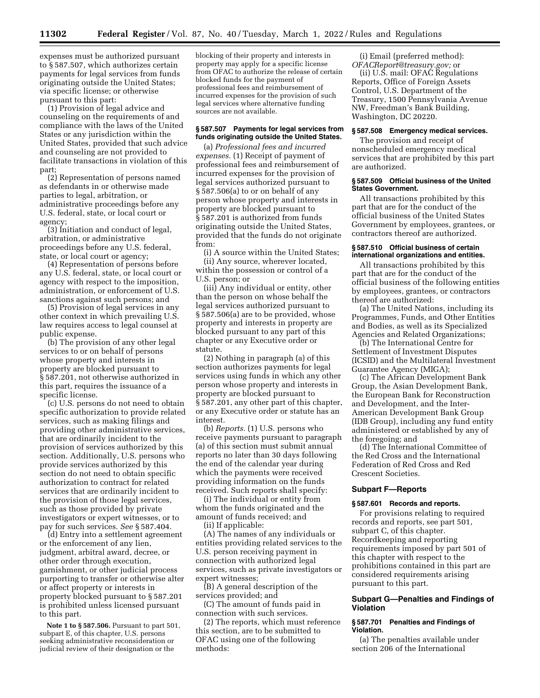expenses must be authorized pursuant to § 587.507, which authorizes certain payments for legal services from funds originating outside the United States; via specific license; or otherwise pursuant to this part:

(1) Provision of legal advice and counseling on the requirements of and compliance with the laws of the United States or any jurisdiction within the United States, provided that such advice and counseling are not provided to facilitate transactions in violation of this part;

(2) Representation of persons named as defendants in or otherwise made parties to legal, arbitration, or administrative proceedings before any U.S. federal, state, or local court or agency;

(3) Initiation and conduct of legal, arbitration, or administrative proceedings before any U.S. federal, state, or local court or agency;

(4) Representation of persons before any U.S. federal, state, or local court or agency with respect to the imposition, administration, or enforcement of U.S. sanctions against such persons; and

(5) Provision of legal services in any other context in which prevailing U.S. law requires access to legal counsel at public expense.

(b) The provision of any other legal services to or on behalf of persons whose property and interests in property are blocked pursuant to § 587.201, not otherwise authorized in this part, requires the issuance of a specific license.

(c) U.S. persons do not need to obtain specific authorization to provide related services, such as making filings and providing other administrative services, that are ordinarily incident to the provision of services authorized by this section. Additionally, U.S. persons who provide services authorized by this section do not need to obtain specific authorization to contract for related services that are ordinarily incident to the provision of those legal services, such as those provided by private investigators or expert witnesses, or to pay for such services. *See* § 587.404.

(d) Entry into a settlement agreement or the enforcement of any lien, judgment, arbitral award, decree, or other order through execution, garnishment, or other judicial process purporting to transfer or otherwise alter or affect property or interests in property blocked pursuant to § 587.201 is prohibited unless licensed pursuant to this part.

**Note 1 to § 587.506.** Pursuant to part 501, subpart E, of this chapter, U.S. persons seeking administrative reconsideration or judicial review of their designation or the

blocking of their property and interests in property may apply for a specific license from OFAC to authorize the release of certain blocked funds for the payment of professional fees and reimbursement of incurred expenses for the provision of such legal services where alternative funding sources are not available.

### **§ 587.507 Payments for legal services from funds originating outside the United States.**

(a) *Professional fees and incurred expenses.* (1) Receipt of payment of professional fees and reimbursement of incurred expenses for the provision of legal services authorized pursuant to § 587.506(a) to or on behalf of any person whose property and interests in property are blocked pursuant to § 587.201 is authorized from funds originating outside the United States, provided that the funds do not originate from:

(i) A source within the United States; (ii) Any source, wherever located, within the possession or control of a U.S. person; or

(iii) Any individual or entity, other than the person on whose behalf the legal services authorized pursuant to § 587.506(a) are to be provided, whose property and interests in property are blocked pursuant to any part of this chapter or any Executive order or statute.

(2) Nothing in paragraph (a) of this section authorizes payments for legal services using funds in which any other person whose property and interests in property are blocked pursuant to § 587.201, any other part of this chapter, or any Executive order or statute has an interest.

(b) *Reports.* (1) U.S. persons who receive payments pursuant to paragraph (a) of this section must submit annual reports no later than 30 days following the end of the calendar year during which the payments were received providing information on the funds received. Such reports shall specify:

(i) The individual or entity from whom the funds originated and the amount of funds received; and (ii) If applicable:

(A) The names of any individuals or entities providing related services to the U.S. person receiving payment in connection with authorized legal services, such as private investigators or expert witnesses;

(B) A general description of the services provided; and

(C) The amount of funds paid in connection with such services.

(2) The reports, which must reference this section, are to be submitted to OFAC using one of the following methods:

(i) Email (preferred method): *[OFACReport@treasury.gov;](mailto:OFACReport@treasury.gov)* or

(ii) U.S. mail: OFAC Regulations Reports, Office of Foreign Assets Control, U.S. Department of the Treasury, 1500 Pennsylvania Avenue NW, Freedman's Bank Building, Washington, DC 20220.

### **§ 587.508 Emergency medical services.**

The provision and receipt of nonscheduled emergency medical services that are prohibited by this part are authorized.

### **§ 587.509 Official business of the United States Government.**

All transactions prohibited by this part that are for the conduct of the official business of the United States Government by employees, grantees, or contractors thereof are authorized.

## **§ 587.510 Official business of certain international organizations and entities.**

All transactions prohibited by this part that are for the conduct of the official business of the following entities by employees, grantees, or contractors thereof are authorized:

(a) The United Nations, including its Programmes, Funds, and Other Entities and Bodies, as well as its Specialized Agencies and Related Organizations;

(b) The International Centre for Settlement of Investment Disputes (ICSID) and the Multilateral Investment Guarantee Agency (MIGA);

(c) The African Development Bank Group, the Asian Development Bank, the European Bank for Reconstruction and Development, and the Inter-American Development Bank Group (IDB Group), including any fund entity administered or established by any of the foregoing; and

(d) The International Committee of the Red Cross and the International Federation of Red Cross and Red Crescent Societies.

# **Subpart F—Reports**

### **§ 587.601 Records and reports.**

For provisions relating to required records and reports, see part 501, subpart C, of this chapter. Recordkeeping and reporting requirements imposed by part 501 of this chapter with respect to the prohibitions contained in this part are considered requirements arising pursuant to this part.

## **Subpart G—Penalties and Findings of Violation**

## **§ 587.701 Penalties and Findings of Violation.**

(a) The penalties available under section 206 of the International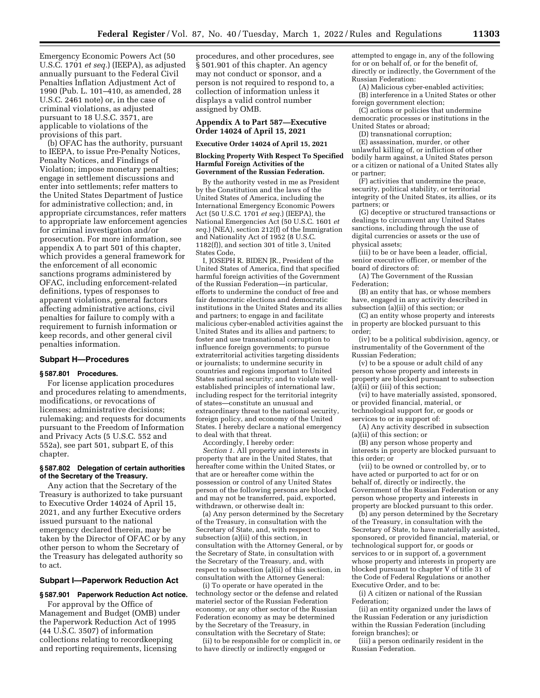Emergency Economic Powers Act (50 U.S.C. 1701 *et seq.*) (IEEPA), as adjusted annually pursuant to the Federal Civil Penalties Inflation Adjustment Act of 1990 (Pub. L. 101–410, as amended, 28 U.S.C. 2461 note) or, in the case of criminal violations, as adjusted pursuant to 18 U.S.C. 3571, are applicable to violations of the provisions of this part.

(b) OFAC has the authority, pursuant to IEEPA, to issue Pre-Penalty Notices, Penalty Notices, and Findings of Violation; impose monetary penalties; engage in settlement discussions and enter into settlements; refer matters to the United States Department of Justice for administrative collection; and, in appropriate circumstances, refer matters to appropriate law enforcement agencies for criminal investigation and/or prosecution. For more information, see appendix A to part 501 of this chapter, which provides a general framework for the enforcement of all economic sanctions programs administered by OFAC, including enforcement-related definitions, types of responses to apparent violations, general factors affecting administrative actions, civil penalties for failure to comply with a requirement to furnish information or keep records, and other general civil penalties information.

### **Subpart H—Procedures**

## **§ 587.801 Procedures.**

For license application procedures and procedures relating to amendments, modifications, or revocations of licenses; administrative decisions; rulemaking; and requests for documents pursuant to the Freedom of Information and Privacy Acts (5 U.S.C. 552 and 552a), see part 501, subpart E, of this chapter.

### **§ 587.802 Delegation of certain authorities of the Secretary of the Treasury.**

Any action that the Secretary of the Treasury is authorized to take pursuant to Executive Order 14024 of April 15, 2021, and any further Executive orders issued pursuant to the national emergency declared therein, may be taken by the Director of OFAC or by any other person to whom the Secretary of the Treasury has delegated authority so to act.

### **Subpart I—Paperwork Reduction Act**

# **§ 587.901 Paperwork Reduction Act notice.**

For approval by the Office of Management and Budget (OMB) under the Paperwork Reduction Act of 1995 (44 U.S.C. 3507) of information collections relating to recordkeeping and reporting requirements, licensing

procedures, and other procedures, see § 501.901 of this chapter. An agency may not conduct or sponsor, and a person is not required to respond to, a collection of information unless it displays a valid control number assigned by OMB.

## **Appendix A to Part 587—Executive Order 14024 of April 15, 2021**

### **Executive Order 14024 of April 15, 2021**

### **Blocking Property With Respect To Specified Harmful Foreign Activities of the Government of the Russian Federation.**

By the authority vested in me as President by the Constitution and the laws of the United States of America, including the International Emergency Economic Powers Act (50 U.S.C. 1701 *et seq.*) (IEEPA), the National Emergencies Act (50 U.S.C. 1601 *et seq.*) (NEA), section 212(f) of the Immigration and Nationality Act of 1952 (8 U.S.C. 1182(f)), and section 301 of title 3, United States Code,

I, JOSEPH R. BIDEN JR., President of the United States of America, find that specified harmful foreign activities of the Government of the Russian Federation—in particular, efforts to undermine the conduct of free and fair democratic elections and democratic institutions in the United States and its allies and partners; to engage in and facilitate malicious cyber-enabled activities against the United States and its allies and partners; to foster and use transnational corruption to influence foreign governments; to pursue extraterritorial activities targeting dissidents or journalists; to undermine security in countries and regions important to United States national security; and to violate wellestablished principles of international law, including respect for the territorial integrity of states—constitute an unusual and extraordinary threat to the national security, foreign policy, and economy of the United States. I hereby declare a national emergency to deal with that threat.

Accordingly, I hereby order:

*Section 1.* All property and interests in property that are in the United States, that hereafter come within the United States, or that are or hereafter come within the possession or control of any United States person of the following persons are blocked and may not be transferred, paid, exported, withdrawn, or otherwise dealt in:

(a) Any person determined by the Secretary of the Treasury, in consultation with the Secretary of State, and, with respect to subsection (a)(ii) of this section, in consultation with the Attorney General, or by the Secretary of State, in consultation with the Secretary of the Treasury, and, with respect to subsection (a)(ii) of this section, in consultation with the Attorney General:

(i) To operate or have operated in the technology sector or the defense and related materiel sector of the Russian Federation economy, or any other sector of the Russian Federation economy as may be determined by the Secretary of the Treasury, in consultation with the Secretary of State;

(ii) to be responsible for or complicit in, or to have directly or indirectly engaged or

attempted to engage in, any of the following for or on behalf of, or for the benefit of, directly or indirectly, the Government of the Russian Federation:

(A) Malicious cyber-enabled activities;

(B) interference in a United States or other foreign government election;

(C) actions or policies that undermine democratic processes or institutions in the United States or abroad;

(D) transnational corruption;

(E) assassination, murder, or other unlawful killing of, or infliction of other bodily harm against, a United States person or a citizen or national of a United States ally or partner;

(F) activities that undermine the peace, security, political stability, or territorial integrity of the United States, its allies, or its partners; or

(G) deceptive or structured transactions or dealings to circumvent any United States sanctions, including through the use of digital currencies or assets or the use of physical assets;

(iii) to be or have been a leader, official, senior executive officer, or member of the board of directors of:

(A) The Government of the Russian Federation;

(B) an entity that has, or whose members have, engaged in any activity described in subsection (a)(ii) of this section; or

(C) an entity whose property and interests in property are blocked pursuant to this order;

(iv) to be a political subdivision, agency, or instrumentality of the Government of the Russian Federation;

(v) to be a spouse or adult child of any person whose property and interests in property are blocked pursuant to subsection (a)(ii) or (iii) of this section;

(vi) to have materially assisted, sponsored, or provided financial, material, or technological support for, or goods or services to or in support of:

(A) Any activity described in subsection (a)(ii) of this section; or

(B) any person whose property and interests in property are blocked pursuant to this order; or

(vii) to be owned or controlled by, or to have acted or purported to act for or on behalf of, directly or indirectly, the Government of the Russian Federation or any person whose property and interests in property are blocked pursuant to this order.

(b) any person determined by the Secretary of the Treasury, in consultation with the Secretary of State, to have materially assisted, sponsored, or provided financial, material, or technological support for, or goods or services to or in support of, a government whose property and interests in property are blocked pursuant to chapter V of title 31 of the Code of Federal Regulations or another Executive Order, and to be:

(i) A citizen or national of the Russian Federation;

(ii) an entity organized under the laws of the Russian Federation or any jurisdiction within the Russian Federation (including foreign branches); or

(iii) a person ordinarily resident in the Russian Federation.